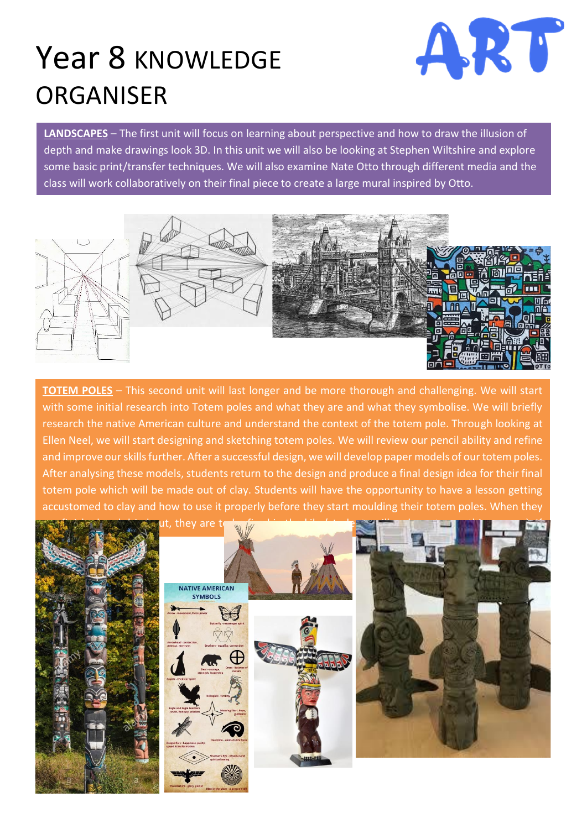## Year 8 KNOWLEDGE ORGANISER



**LANDSCAPES** – The first unit will focus on learning about perspective and how to draw the illusion of depth and make drawings look 3D. In this unit we will also be looking at Stephen Wiltshire and explore some basic print/transfer techniques. We will also examine Nate Otto through different media and the class will work collaboratively on their final piece to create a large mural inspired by Otto.



**TOTEM POLES** – This second unit will last longer and be more thorough and challenging. We will start with some initial research into Totem poles and what they are and what they symbolise. We will briefly research the native American culture and understand the context of the totem pole. Through looking at Ellen Neel, we will start designing and sketching totem poles. We will review our pencil ability and refine and improve our skills further. After a successful design, we will develop paper models of our totem poles. After analysing these models, students return to the design and produce a final design idea for their final totem pole which will be made out of clay. Students will have the opportunity to have a lesson getting accustomed to clay and how to use it properly before they start moulding their totem poles. When they

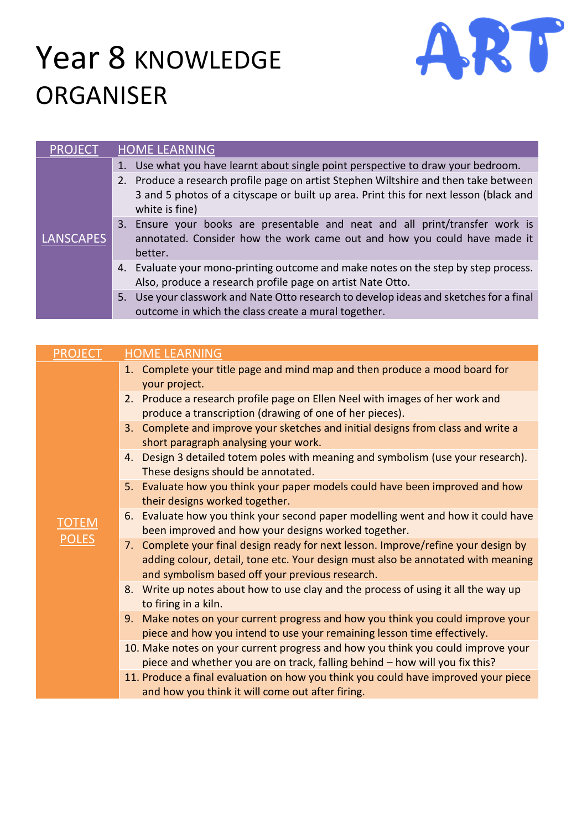## Year 8 KNOWLEDGE ORGANISER



| <b>PROJECT</b>   | <b>HOME LEARNING</b>                                                                                                                                                                            |
|------------------|-------------------------------------------------------------------------------------------------------------------------------------------------------------------------------------------------|
| <b>LANSCAPES</b> | Use what you have learnt about single point perspective to draw your bedroom.<br>1.                                                                                                             |
|                  | 2. Produce a research profile page on artist Stephen Wiltshire and then take between<br>3 and 5 photos of a cityscape or built up area. Print this for next lesson (black and<br>white is fine) |
|                  | Ensure your books are presentable and neat and all print/transfer work is<br>3.<br>annotated. Consider how the work came out and how you could have made it<br>better.                          |
|                  | 4. Evaluate your mono-printing outcome and make notes on the step by step process.<br>Also, produce a research profile page on artist Nate Otto.                                                |
|                  | 5. Use your classwork and Nate Otto research to develop ideas and sketches for a final<br>outcome in which the class create a mural together.                                                   |

| <b>PROJECT</b>               | <b>HOME LEARNING</b>                                                                                                                                                                                                      |
|------------------------------|---------------------------------------------------------------------------------------------------------------------------------------------------------------------------------------------------------------------------|
| <b>TOTEM</b><br><b>POLES</b> | 1. Complete your title page and mind map and then produce a mood board for<br>your project.                                                                                                                               |
|                              | 2. Produce a research profile page on Ellen Neel with images of her work and<br>produce a transcription (drawing of one of her pieces).                                                                                   |
|                              | 3. Complete and improve your sketches and initial designs from class and write a<br>short paragraph analysing your work.                                                                                                  |
|                              | 4. Design 3 detailed totem poles with meaning and symbolism (use your research).<br>These designs should be annotated.                                                                                                    |
|                              | 5. Evaluate how you think your paper models could have been improved and how<br>their designs worked together.                                                                                                            |
|                              | 6. Evaluate how you think your second paper modelling went and how it could have<br>been improved and how your designs worked together.                                                                                   |
|                              | 7. Complete your final design ready for next lesson. Improve/refine your design by<br>adding colour, detail, tone etc. Your design must also be annotated with meaning<br>and symbolism based off your previous research. |
|                              | 8. Write up notes about how to use clay and the process of using it all the way up<br>to firing in a kiln.                                                                                                                |
|                              | 9. Make notes on your current progress and how you think you could improve your<br>piece and how you intend to use your remaining lesson time effectively.                                                                |
|                              | 10. Make notes on your current progress and how you think you could improve your<br>piece and whether you are on track, falling behind - how will you fix this?                                                           |
|                              | 11. Produce a final evaluation on how you think you could have improved your piece<br>and how you think it will come out after firing.                                                                                    |